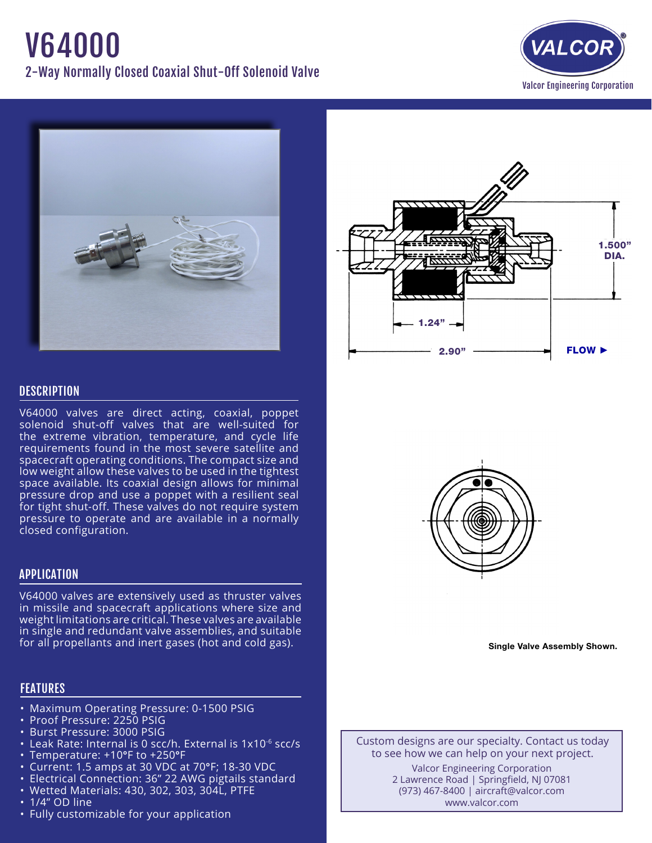# V64000 2-Way Normally Closed Coaxial Shut-Off Solenoid Valve







## **DESCRIPTION**

V64000 valves are direct acting, coaxial, poppet solenoid shut-off valves that are well-suited for the extreme vibration, temperature, and cycle life requirements found in the most severe satellite and spacecraft operating conditions. The compact size and low weight allow these valves to be used in the tightest space available. Its coaxial design allows for minimal pressure drop and use a poppet with a resilient seal for tight shut-off. These valves do not require system pressure to operate and are available in a normally closed configuration.

## APPLICATION

V64000 valves are extensively used as thruster valves in missile and spacecraft applications where size and weight limitations are critical. These valves are available in single and redundant valve assemblies, and suitable for all propellants and inert gases (hot and cold gas).

# FEATURES

- Maximum Operating Pressure: 0-1500 PSIG
- Proof Pressure: 2250 PSIG
- • Burst Pressure: 3000 PSIG
- Leak Rate: Internal is 0 scc/h. External is 1x10<sup>-6</sup> scc/s
- Temperature: +10°F to +250°F
- Current: 1.5 amps at 30 VDC at 70°F; 18-30 VDC
- Electrical Connection: 36" 22 AWG pigtails standard
- • Wetted Materials: 430, 302, 303, 304L, PTFE
- 1/4" OD line
- Fully customizable for your application



Single Valve Assembly Shown.

Custom designs are our specialty. Contact us today to see how we can help on your next project. Valcor Engineering Corporation 2 Lawrence Road | Springfield, NJ 07081 (973) 467-8400 | aircraft@valcor.com www.valcor.com